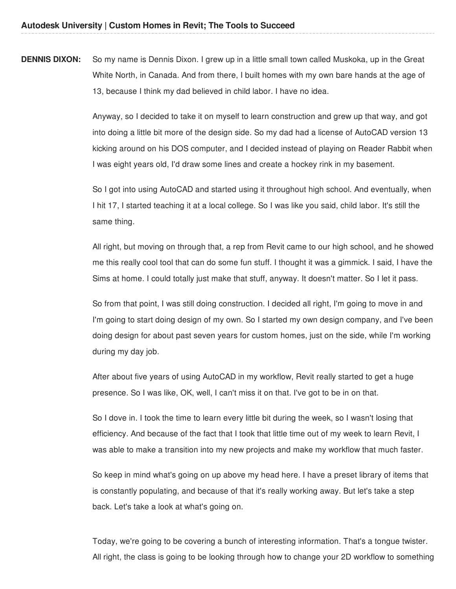**DENNIS DIXON:** So my name is Dennis Dixon. I grew up in a little small town called Muskoka, up in the Great White North, in Canada. And from there, I built homes with my own bare hands at the age of 13, because I think my dad believed in child labor. I have no idea.

> Anyway, so I decided to take it on myself to learn construction and grew up that way, and got into doing a little bit more of the design side. So my dad had a license of AutoCAD version 13 kicking around on his DOS computer, and I decided instead of playing on Reader Rabbit when I was eight years old, I'd draw some lines and create a hockey rink in my basement.

> So I got into using AutoCAD and started using it throughout high school. And eventually, when I hit 17, I started teaching it at a local college. So I was like you said, child labor. It's still the same thing.

> All right, but moving on through that, a rep from Revit came to our high school, and he showed me this really cool tool that can do some fun stuff. I thought it was a gimmick. I said, I have the Sims at home. I could totally just make that stuff, anyway. It doesn't matter. So I let it pass.

> So from that point, I was still doing construction. I decided all right, I'm going to move in and I'm going to start doing design of my own. So I started my own design company, and I've been doing design for about past seven years for custom homes, just on the side, while I'm working during my day job.

After about five years of using AutoCAD in my workflow, Revit really started to get a huge presence. So I was like, OK, well, I can't miss it on that. I've got to be in on that.

So I dove in. I took the time to learn every little bit during the week, so I wasn't losing that efficiency. And because of the fact that I took that little time out of my week to learn Revit, I was able to make a transition into my new projects and make my workflow that much faster.

So keep in mind what's going on up above my head here. I have a preset library of items that is constantly populating, and because of that it's really working away. But let's take a step back. Let's take a look at what's going on.

Today, we're going to be covering a bunch of interesting information. That's a tongue twister. All right, the class is going to be looking through how to change your 2D workflow to something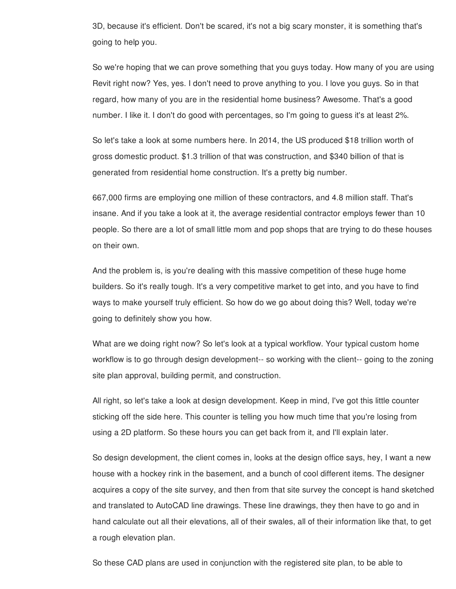3D, because it's efficient. Don't be scared, it's not a big scary monster, it is something that's going to help you.

So we're hoping that we can prove something that you guys today. How many of you are using Revit right now? Yes, yes. I don't need to prove anything to you. I love you guys. So in that regard, how many of you are in the residential home business? Awesome. That's a good number. I like it. I don't do good with percentages, so I'm going to guess it's at least 2%.

So let's take a look at some numbers here. In 2014, the US produced \$18 trillion worth of gross domestic product. \$1.3 trillion of that was construction, and \$340 billion of that is generated from residential home construction. It's a pretty big number.

667,000 firms are employing one million of these contractors, and 4.8 million staff. That's insane. And if you take a look at it, the average residential contractor employs fewer than 10 people. So there are a lot of small little mom and pop shops that are trying to do these houses on their own.

And the problem is, is you're dealing with this massive competition of these huge home builders. So it's really tough. It's a very competitive market to get into, and you have to find ways to make yourself truly efficient. So how do we go about doing this? Well, today we're going to definitely show you how.

What are we doing right now? So let's look at a typical workflow. Your typical custom home workflow is to go through design development-- so working with the client-- going to the zoning site plan approval, building permit, and construction.

All right, so let's take a look at design development. Keep in mind, I've got this little counter sticking off the side here. This counter is telling you how much time that you're losing from using a 2D platform. So these hours you can get back from it, and I'll explain later.

So design development, the client comes in, looks at the design office says, hey, I want a new house with a hockey rink in the basement, and a bunch of cool different items. The designer acquires a copy of the site survey, and then from that site survey the concept is hand sketched and translated to AutoCAD line drawings. These line drawings, they then have to go and in hand calculate out all their elevations, all of their swales, all of their information like that, to get a rough elevation plan.

So these CAD plans are used in conjunction with the registered site plan, to be able to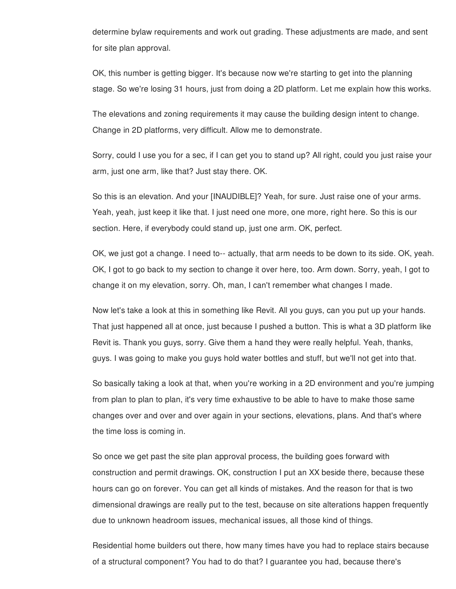determine bylaw requirements and work out grading. These adjustments are made, and sent for site plan approval.

OK, this number is getting bigger. It's because now we're starting to get into the planning stage. So we're losing 31 hours, just from doing a 2D platform. Let me explain how this works.

The elevations and zoning requirements it may cause the building design intent to change. Change in 2D platforms, very difficult. Allow me to demonstrate.

Sorry, could I use you for a sec, if I can get you to stand up? All right, could you just raise your arm, just one arm, like that? Just stay there. OK.

So this is an elevation. And your [INAUDIBLE]? Yeah, for sure. Just raise one of your arms. Yeah, yeah, just keep it like that. I just need one more, one more, right here. So this is our section. Here, if everybody could stand up, just one arm. OK, perfect.

OK, we just got a change. I need to-- actually, that arm needs to be down to its side. OK, yeah. OK, I got to go back to my section to change it over here, too. Arm down. Sorry, yeah, I got to change it on my elevation, sorry. Oh, man, I can't remember what changes I made.

Now let's take a look at this in something like Revit. All you guys, can you put up your hands. That just happened all at once, just because I pushed a button. This is what a 3D platform like Revit is. Thank you guys, sorry. Give them a hand they were really helpful. Yeah, thanks, guys. I was going to make you guys hold water bottles and stuff, but we'll not get into that.

So basically taking a look at that, when you're working in a 2D environment and you're jumping from plan to plan to plan, it's very time exhaustive to be able to have to make those same changes over and over and over again in your sections, elevations, plans. And that's where the time loss is coming in.

So once we get past the site plan approval process, the building goes forward with construction and permit drawings. OK, construction I put an XX beside there, because these hours can go on forever. You can get all kinds of mistakes. And the reason for that is two dimensional drawings are really put to the test, because on site alterations happen frequently due to unknown headroom issues, mechanical issues, all those kind of things.

Residential home builders out there, how many times have you had to replace stairs because of a structural component? You had to do that? I guarantee you had, because there's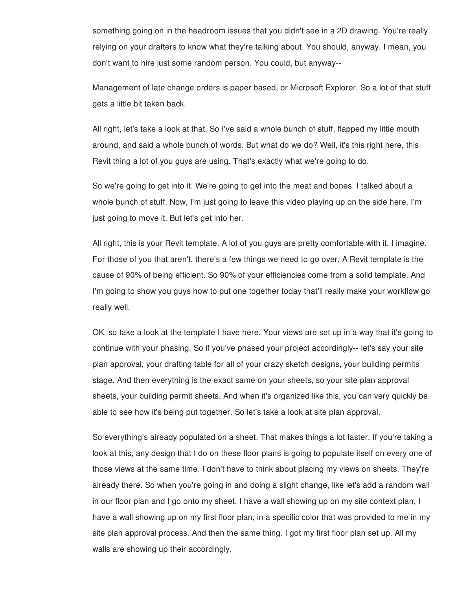something going on in the headroom issues that you didn't see in a 2D drawing. You're really relying on your drafters to know what they're talking about. You should, anyway. I mean, you don't want to hire just some random person. You could, but anyway--

Management of late change orders is paper based, or Microsoft Explorer. So a lot of that stuff gets a little bit taken back.

All right, let's take a look at that. So I've said a whole bunch of stuff, flapped my little mouth around, and said a whole bunch of words. But what do we do? Well, it's this right here, this Revit thing a lot of you guys are using. That's exactly what we're going to do.

So we're going to get into it. We're going to get into the meat and bones. I talked about a whole bunch of stuff. Now, I'm just going to leave this video playing up on the side here. I'm just going to move it. But let's get into her.

All right, this is your Revit template. A lot of you guys are pretty comfortable with it, I imagine. For those of you that aren't, there's a few things we need to go over. A Revit template is the cause of 90% of being efficient. So 90% of your efficiencies come from a solid template. And I'm going to show you guys how to put one together today that'll really make your workflow go really well.

OK, so take a look at the template I have here. Your views are set up in a way that it's going to continue with your phasing. So if you've phased your project accordingly-- let's say your site plan approval, your drafting table for all of your crazy sketch designs, your building permits stage. And then everything is the exact same on your sheets, so your site plan approval sheets, your building permit sheets. And when it's organized like this, you can very quickly be able to see how it's being put together. So let's take a look at site plan approval.

So everything's already populated on a sheet. That makes things a lot faster. If you're taking a look at this, any design that I do on these floor plans is going to populate itself on every one of those views at the same time. I don't have to think about placing my views on sheets. They're already there. So when you're going in and doing a slight change, like let's add a random wall in our floor plan and I go onto my sheet, I have a wall showing up on my site context plan, I have a wall showing up on my first floor plan, in a specific color that was provided to me in my site plan approval process. And then the same thing. I got my first floor plan set up. All my walls are showing up their accordingly.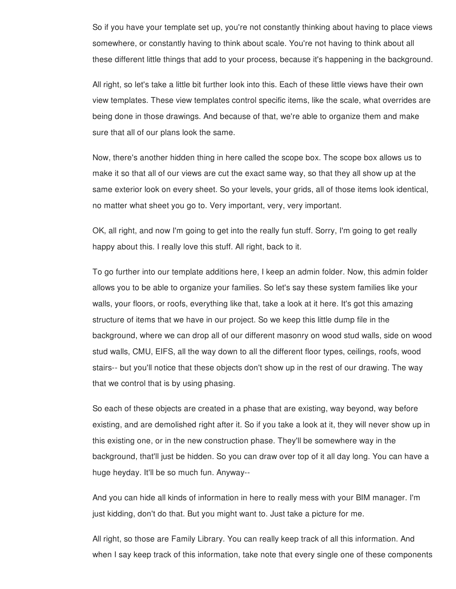So if you have your template set up, you're not constantly thinking about having to place views somewhere, or constantly having to think about scale. You're not having to think about all these different little things that add to your process, because it's happening in the background.

All right, so let's take a little bit further look into this. Each of these little views have their own view templates. These view templates control specific items, like the scale, what overrides are being done in those drawings. And because of that, we're able to organize them and make sure that all of our plans look the same.

Now, there's another hidden thing in here called the scope box. The scope box allows us to make it so that all of our views are cut the exact same way, so that they all show up at the same exterior look on every sheet. So your levels, your grids, all of those items look identical, no matter what sheet you go to. Very important, very, very important.

OK, all right, and now I'm going to get into the really fun stuff. Sorry, I'm going to get really happy about this. I really love this stuff. All right, back to it.

To go further into our template additions here, I keep an admin folder. Now, this admin folder allows you to be able to organize your families. So let's say these system families like your walls, your floors, or roofs, everything like that, take a look at it here. It's got this amazing structure of items that we have in our project. So we keep this little dump file in the background, where we can drop all of our different masonry on wood stud walls, side on wood stud walls, CMU, EIFS, all the way down to all the different floor types, ceilings, roofs, wood stairs-- but you'll notice that these objects don't show up in the rest of our drawing. The way that we control that is by using phasing.

So each of these objects are created in a phase that are existing, way beyond, way before existing, and are demolished right after it. So if you take a look at it, they will never show up in this existing one, or in the new construction phase. They'll be somewhere way in the background, that'll just be hidden. So you can draw over top of it all day long. You can have a huge heyday. It'll be so much fun. Anyway--

And you can hide all kinds of information in here to really mess with your BIM manager. I'm just kidding, don't do that. But you might want to. Just take a picture for me.

All right, so those are Family Library. You can really keep track of all this information. And when I say keep track of this information, take note that every single one of these components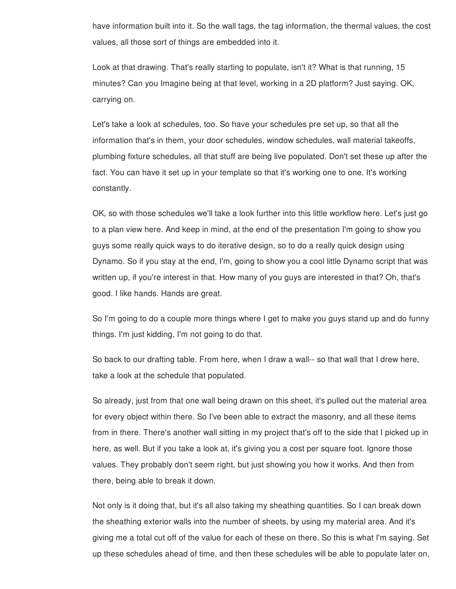have information built into it. So the wall tags, the tag information, the thermal values, the cost values, all those sort of things are embedded into it.

Look at that drawing. That's really starting to populate, isn't it? What is that running, 15 minutes? Can you Imagine being at that level, working in a 2D platform? Just saying. OK, carrying on.

Let's take a look at schedules, too. So have your schedules pre set up, so that all the information that's in them, your door schedules, window schedules, wall material takeoffs, plumbing fixture schedules, all that stuff are being live populated. Don't set these up after the fact. You can have it set up in your template so that it's working one to one. It's working constantly.

OK, so with those schedules we'll take a look further into this little workflow here. Let's just go to a plan view here. And keep in mind, at the end of the presentation I'm going to show you guys some really quick ways to do iterative design, so to do a really quick design using Dynamo. So if you stay at the end, I'm, going to show you a cool little Dynamo script that was written up, if you're interest in that. How many of you guys are interested in that? Oh, that's good. I like hands. Hands are great.

So I'm going to do a couple more things where I get to make you guys stand up and do funny things. I'm just kidding, I'm not going to do that.

So back to our drafting table. From here, when I draw a wall-- so that wall that I drew here, take a look at the schedule that populated.

So already, just from that one wall being drawn on this sheet, it's pulled out the material area for every object within there. So I've been able to extract the masonry, and all these items from in there. There's another wall sitting in my project that's off to the side that I picked up in here, as well. But if you take a look at, it's giving you a cost per square foot. Ignore those values. They probably don't seem right, but just showing you how it works. And then from there, being able to break it down.

Not only is it doing that, but it's all also taking my sheathing quantities. So I can break down the sheathing exterior walls into the number of sheets, by using my material area. And it's giving me a total cut off of the value for each of these on there. So this is what I'm saying. Set up these schedules ahead of time, and then these schedules will be able to populate later on,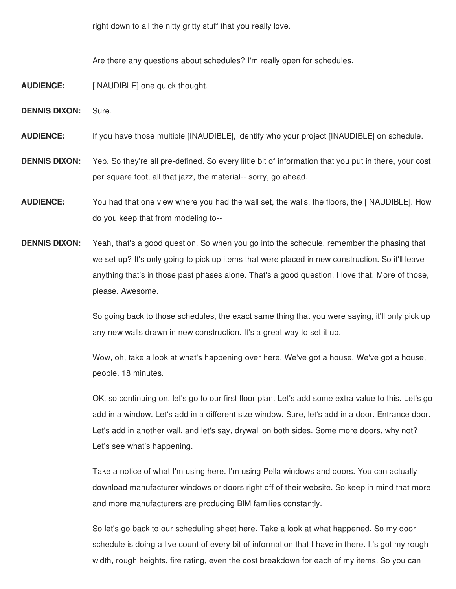right down to all the nitty gritty stuff that you really love.

Are there any questions about schedules? I'm really open for schedules.

- **AUDIENCE:** [INAUDIBLE] one quick thought.
- **DENNIS DIXON:** Sure.

**AUDIENCE:** If you have those multiple [INAUDIBLE], identify who your project [INAUDIBLE] on schedule.

- **DENNIS DIXON:** Yep. So they're all pre-defined. So every little bit of information that you put in there, your cost per square foot, all that jazz, the material-- sorry, go ahead.
- **AUDIENCE:** You had that one view where you had the wall set, the walls, the floors, the [INAUDIBLE]. How do you keep that from modeling to--
- **DENNIS DIXON:** Yeah, that's a good question. So when you go into the schedule, remember the phasing that we set up? It's only going to pick up items that were placed in new construction. So it'll leave anything that's in those past phases alone. That's a good question. I love that. More of those, please. Awesome.

So going back to those schedules, the exact same thing that you were saying, it'll only pick up any new walls drawn in new construction. It's a great way to set it up.

Wow, oh, take a look at what's happening over here. We've got a house. We've got a house, people. 18 minutes.

OK, so continuing on, let's go to our first floor plan. Let's add some extra value to this. Let's go add in a window. Let's add in a different size window. Sure, let's add in a door. Entrance door. Let's add in another wall, and let's say, drywall on both sides. Some more doors, why not? Let's see what's happening.

Take a notice of what I'm using here. I'm using Pella windows and doors. You can actually download manufacturer windows or doors right off of their website. So keep in mind that more and more manufacturers are producing BIM families constantly.

So let's go back to our scheduling sheet here. Take a look at what happened. So my door schedule is doing a live count of every bit of information that I have in there. It's got my rough width, rough heights, fire rating, even the cost breakdown for each of my items. So you can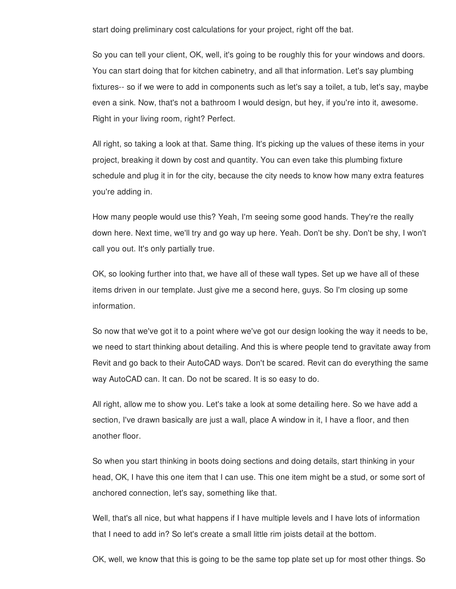start doing preliminary cost calculations for your project, right off the bat.

So you can tell your client, OK, well, it's going to be roughly this for your windows and doors. You can start doing that for kitchen cabinetry, and all that information. Let's say plumbing fixtures-- so if we were to add in components such as let's say a toilet, a tub, let's say, maybe even a sink. Now, that's not a bathroom I would design, but hey, if you're into it, awesome. Right in your living room, right? Perfect.

All right, so taking a look at that. Same thing. It's picking up the values of these items in your project, breaking it down by cost and quantity. You can even take this plumbing fixture schedule and plug it in for the city, because the city needs to know how many extra features you're adding in.

How many people would use this? Yeah, I'm seeing some good hands. They're the really down here. Next time, we'll try and go way up here. Yeah. Don't be shy. Don't be shy, I won't call you out. It's only partially true.

OK, so looking further into that, we have all of these wall types. Set up we have all of these items driven in our template. Just give me a second here, guys. So I'm closing up some information.

So now that we've got it to a point where we've got our design looking the way it needs to be, we need to start thinking about detailing. And this is where people tend to gravitate away from Revit and go back to their AutoCAD ways. Don't be scared. Revit can do everything the same way AutoCAD can. It can. Do not be scared. It is so easy to do.

All right, allow me to show you. Let's take a look at some detailing here. So we have add a section, I've drawn basically are just a wall, place A window in it, I have a floor, and then another floor.

So when you start thinking in boots doing sections and doing details, start thinking in your head, OK, I have this one item that I can use. This one item might be a stud, or some sort of anchored connection, let's say, something like that.

Well, that's all nice, but what happens if I have multiple levels and I have lots of information that I need to add in? So let's create a small little rim joists detail at the bottom.

OK, well, we know that this is going to be the same top plate set up for most other things. So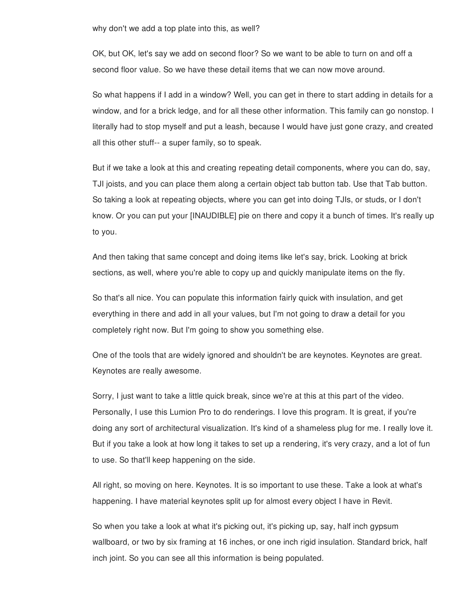why don't we add a top plate into this, as well?

OK, but OK, let's say we add on second floor? So we want to be able to turn on and off a second floor value. So we have these detail items that we can now move around.

So what happens if I add in a window? Well, you can get in there to start adding in details for a window, and for a brick ledge, and for all these other information. This family can go nonstop. I literally had to stop myself and put a leash, because I would have just gone crazy, and created all this other stuff-- a super family, so to speak.

But if we take a look at this and creating repeating detail components, where you can do, say, TJI joists, and you can place them along a certain object tab button tab. Use that Tab button. So taking a look at repeating objects, where you can get into doing TJIs, or studs, or I don't know. Or you can put your [INAUDIBLE] pie on there and copy it a bunch of times. It's really up to you.

And then taking that same concept and doing items like let's say, brick. Looking at brick sections, as well, where you're able to copy up and quickly manipulate items on the fly.

So that's all nice. You can populate this information fairly quick with insulation, and get everything in there and add in all your values, but I'm not going to draw a detail for you completely right now. But I'm going to show you something else.

One of the tools that are widely ignored and shouldn't be are keynotes. Keynotes are great. Keynotes are really awesome.

Sorry, I just want to take a little quick break, since we're at this at this part of the video. Personally, I use this Lumion Pro to do renderings. I love this program. It is great, if you're doing any sort of architectural visualization. It's kind of a shameless plug for me. I really love it. But if you take a look at how long it takes to set up a rendering, it's very crazy, and a lot of fun to use. So that'll keep happening on the side.

All right, so moving on here. Keynotes. It is so important to use these. Take a look at what's happening. I have material keynotes split up for almost every object I have in Revit.

So when you take a look at what it's picking out, it's picking up, say, half inch gypsum wallboard, or two by six framing at 16 inches, or one inch rigid insulation. Standard brick, half inch joint. So you can see all this information is being populated.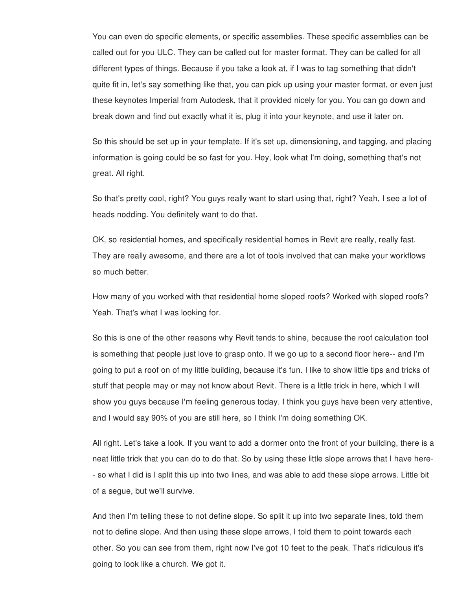You can even do specific elements, or specific assemblies. These specific assemblies can be called out for you ULC. They can be called out for master format. They can be called for all different types of things. Because if you take a look at, if I was to tag something that didn't quite fit in, let's say something like that, you can pick up using your master format, or even just these keynotes Imperial from Autodesk, that it provided nicely for you. You can go down and break down and find out exactly what it is, plug it into your keynote, and use it later on.

So this should be set up in your template. If it's set up, dimensioning, and tagging, and placing information is going could be so fast for you. Hey, look what I'm doing, something that's not great. All right.

So that's pretty cool, right? You guys really want to start using that, right? Yeah, I see a lot of heads nodding. You definitely want to do that.

OK, so residential homes, and specifically residential homes in Revit are really, really fast. They are really awesome, and there are a lot of tools involved that can make your workflows so much better.

How many of you worked with that residential home sloped roofs? Worked with sloped roofs? Yeah. That's what I was looking for.

So this is one of the other reasons why Revit tends to shine, because the roof calculation tool is something that people just love to grasp onto. If we go up to a second floor here-- and I'm going to put a roof on of my little building, because it's fun. I like to show little tips and tricks of stuff that people may or may not know about Revit. There is a little trick in here, which I will show you guys because I'm feeling generous today. I think you guys have been very attentive, and I would say 90% of you are still here, so I think I'm doing something OK.

All right. Let's take a look. If you want to add a dormer onto the front of your building, there is a neat little trick that you can do to do that. So by using these little slope arrows that I have here- - so what I did is I split this up into two lines, and was able to add these slope arrows. Little bit of a segue, but we'll survive.

And then I'm telling these to not define slope. So split it up into two separate lines, told them not to define slope. And then using these slope arrows, I told them to point towards each other. So you can see from them, right now I've got 10 feet to the peak. That's ridiculous it's going to look like a church. We got it.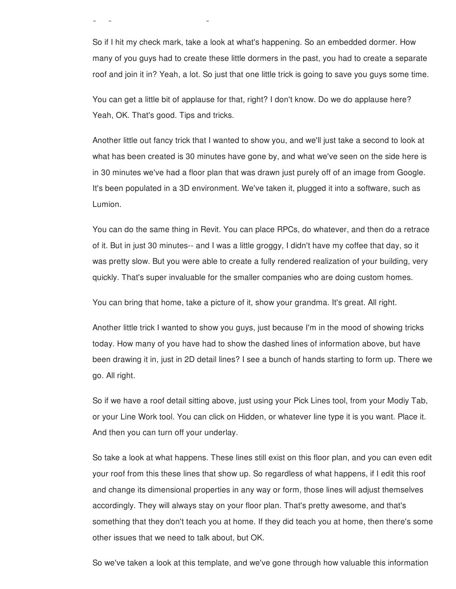So if I hit my check mark, take a look at what's happening. So an embedded dormer. How many of you guys had to create these little dormers in the past, you had to create a separate roof and join it in? Yeah, a lot. So just that one little trick is going to save you guys some time.

going to look like a church. We got it to look like a church. We got it to look like a church. We got it to lo

You can get a little bit of applause for that, right? I don't know. Do we do applause here? Yeah, OK. That's good. Tips and tricks.

Another little out fancy trick that I wanted to show you, and we'll just take a second to look at what has been created is 30 minutes have gone by, and what we've seen on the side here is in 30 minutes we've had a floor plan that was drawn just purely off of an image from Google. It's been populated in a 3D environment. We've taken it, plugged it into a software, such as Lumion.

You can do the same thing in Revit. You can place RPCs, do whatever, and then do a retrace of it. But in just 30 minutes-- and I was a little groggy, I didn't have my coffee that day, so it was pretty slow. But you were able to create a fully rendered realization of your building, very quickly. That's super invaluable for the smaller companies who are doing custom homes.

You can bring that home, take a picture of it, show your grandma. It's great. All right.

Another little trick I wanted to show you guys, just because I'm in the mood of showing tricks today. How many of you have had to show the dashed lines of information above, but have been drawing it in, just in 2D detail lines? I see a bunch of hands starting to form up. There we go. All right.

So if we have a roof detail sitting above, just using your Pick Lines tool, from your Modiy Tab, or your Line Work tool. You can click on Hidden, or whatever line type it is you want. Place it. And then you can turn off your underlay.

So take a look at what happens. These lines still exist on this floor plan, and you can even edit your roof from this these lines that show up. So regardless of what happens, if I edit this roof and change its dimensional properties in any way or form, those lines will adjust themselves accordingly. They will always stay on your floor plan. That's pretty awesome, and that's something that they don't teach you at home. If they did teach you at home, then there's some other issues that we need to talk about, but OK.

So we've taken a look at this template, and we've gone through how valuable this information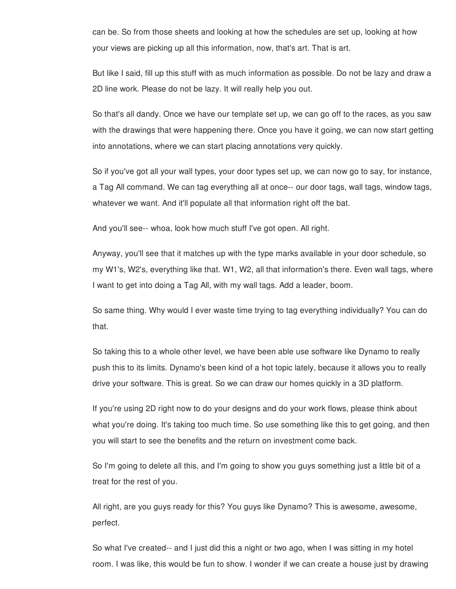can be. So from those sheets and looking at how the schedules are set up, looking at how your views are picking up all this information, now, that's art. That is art.

But like I said, fill up this stuff with as much information as possible. Do not be lazy and draw a 2D line work. Please do not be lazy. It will really help you out.

So that's all dandy. Once we have our template set up, we can go off to the races, as you saw with the drawings that were happening there. Once you have it going, we can now start getting into annotations, where we can start placing annotations very quickly.

So if you've got all your wall types, your door types set up, we can now go to say, for instance, a Tag All command. We can tag everything all at once-- our door tags, wall tags, window tags, whatever we want. And it'll populate all that information right off the bat.

And you'll see-- whoa, look how much stuff I've got open. All right.

Anyway, you'll see that it matches up with the type marks available in your door schedule, so my W1's, W2's, everything like that. W1, W2, all that information's there. Even wall tags, where I want to get into doing a Tag All, with my wall tags. Add a leader, boom.

So same thing. Why would I ever waste time trying to tag everything individually? You can do that.

So taking this to a whole other level, we have been able use software like Dynamo to really push this to its limits. Dynamo's been kind of a hot topic lately, because it allows you to really drive your software. This is great. So we can draw our homes quickly in a 3D platform.

If you're using 2D right now to do your designs and do your work flows, please think about what you're doing. It's taking too much time. So use something like this to get going, and then you will start to see the benefits and the return on investment come back.

So I'm going to delete all this, and I'm going to show you guys something just a little bit of a treat for the rest of you.

All right, are you guys ready for this? You guys like Dynamo? This is awesome, awesome, perfect.

So what I've created-- and I just did this a night or two ago, when I was sitting in my hotel room. I was like, this would be fun to show. I wonder if we can create a house just by drawing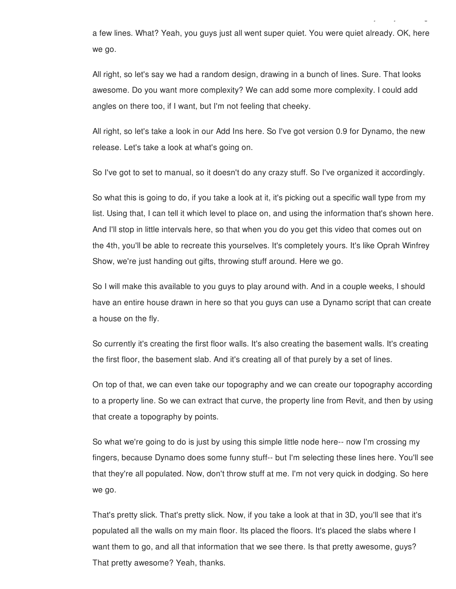a few lines. What? Yeah, you guys just all went super quiet. You were quiet already. OK, here we go.

room. I was like, this would be fun to show. I wonder if we can create a house just by drawing

All right, so let's say we had a random design, drawing in a bunch of lines. Sure. That looks awesome. Do you want more complexity? We can add some more complexity. I could add angles on there too, if I want, but I'm not feeling that cheeky.

All right, so let's take a look in our Add Ins here. So I've got version 0.9 for Dynamo, the new release. Let's take a look at what's going on.

So I've got to set to manual, so it doesn't do any crazy stuff. So I've organized it accordingly.

So what this is going to do, if you take a look at it, it's picking out a specific wall type from my list. Using that, I can tell it which level to place on, and using the information that's shown here. And I'll stop in little intervals here, so that when you do you get this video that comes out on the 4th, you'll be able to recreate this yourselves. It's completely yours. It's like Oprah Winfrey Show, we're just handing out gifts, throwing stuff around. Here we go.

So I will make this available to you guys to play around with. And in a couple weeks, I should have an entire house drawn in here so that you guys can use a Dynamo script that can create a house on the fly.

So currently it's creating the first floor walls. It's also creating the basement walls. It's creating the first floor, the basement slab. And it's creating all of that purely by a set of lines.

On top of that, we can even take our topography and we can create our topography according to a property line. So we can extract that curve, the property line from Revit, and then by using that create a topography by points.

So what we're going to do is just by using this simple little node here-- now I'm crossing my fingers, because Dynamo does some funny stuff-- but I'm selecting these lines here. You'll see that they're all populated. Now, don't throw stuff at me. I'm not very quick in dodging. So here we go.

That's pretty slick. That's pretty slick. Now, if you take a look at that in 3D, you'll see that it's populated all the walls on my main floor. Its placed the floors. It's placed the slabs where I want them to go, and all that information that we see there. Is that pretty awesome, guys? That pretty awesome? Yeah, thanks.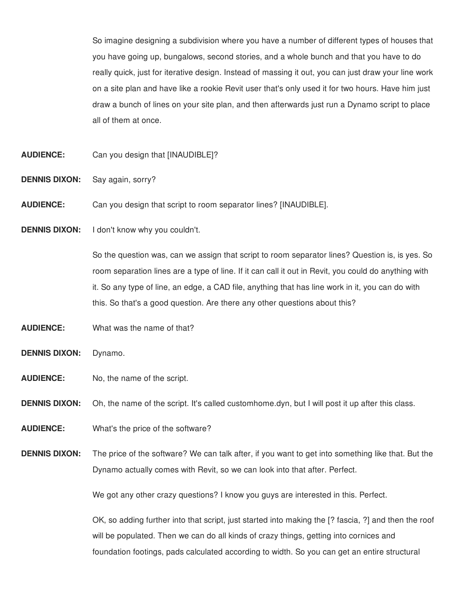So imagine designing a subdivision where you have a number of different types of houses that you have going up, bungalows, second stories, and a whole bunch and that you have to do really quick, just for iterative design. Instead of massing it out, you can just draw your line work on a site plan and have like a rookie Revit user that's only used it for two hours. Have him just draw a bunch of lines on your site plan, and then afterwards just run a Dynamo script to place all of them at once.

- **AUDIENCE:** Can you design that [INAUDIBLE]?
- **DENNIS DIXON:** Say again, sorry?
- **AUDIENCE:** Can you design that script to room separator lines? [INAUDIBLE].
- **DENNIS DIXON:** I don't know why you couldn't.

So the question was, can we assign that script to room separator lines? Question is, is yes. So room separation lines are a type of line. If it can call it out in Revit, you could do anything with it. So any type of line, an edge, a CAD file, anything that has line work in it, you can do with this. So that's a good question. Are there any other questions about this?

- **AUDIENCE:** What was the name of that?
- **DENNIS DIXON:** Dynamo.
- **AUDIENCE:** No, the name of the script.
- **DENNIS DIXON:** Oh, the name of the script. It's called customhome.dyn, but I will post it up after this class.
- **AUDIENCE:** What's the price of the software?
- **DENNIS DIXON:** The price of the software? We can talk after, if you want to get into something like that. But the Dynamo actually comes with Revit, so we can look into that after. Perfect.

We got any other crazy questions? I know you guys are interested in this. Perfect.

OK, so adding further into that script, just started into making the [? fascia, ?] and then the roof will be populated. Then we can do all kinds of crazy things, getting into cornices and foundation footings, pads calculated according to width. So you can get an entire structural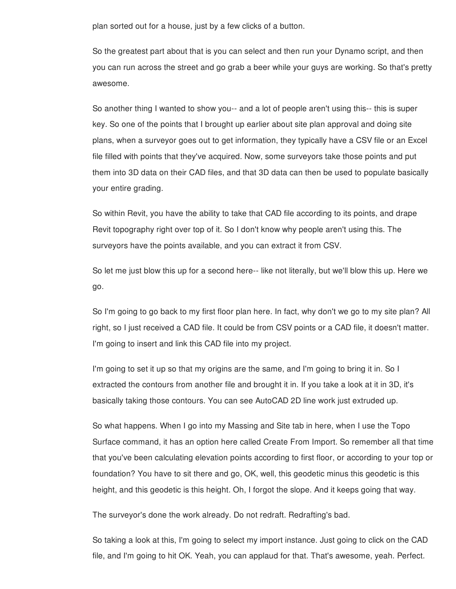plan sorted out for a house, just by a few clicks of a button.

So the greatest part about that is you can select and then run your Dynamo script, and then you can run across the street and go grab a beer while your guys are working. So that's pretty awesome.

So another thing I wanted to show you-- and a lot of people aren't using this-- this is super key. So one of the points that I brought up earlier about site plan approval and doing site plans, when a surveyor goes out to get information, they typically have a CSV file or an Excel file filled with points that they've acquired. Now, some surveyors take those points and put them into 3D data on their CAD files, and that 3D data can then be used to populate basically your entire grading.

So within Revit, you have the ability to take that CAD file according to its points, and drape Revit topography right over top of it. So I don't know why people aren't using this. The surveyors have the points available, and you can extract it from CSV.

So let me just blow this up for a second here-- like not literally, but we'll blow this up. Here we go.

So I'm going to go back to my first floor plan here. In fact, why don't we go to my site plan? All right, so I just received a CAD file. It could be from CSV points or a CAD file, it doesn't matter. I'm going to insert and link this CAD file into my project.

I'm going to set it up so that my origins are the same, and I'm going to bring it in. So I extracted the contours from another file and brought it in. If you take a look at it in 3D, it's basically taking those contours. You can see AutoCAD 2D line work just extruded up.

So what happens. When I go into my Massing and Site tab in here, when I use the Topo Surface command, it has an option here called Create From Import. So remember all that time that you've been calculating elevation points according to first floor, or according to your top or foundation? You have to sit there and go, OK, well, this geodetic minus this geodetic is this height, and this geodetic is this height. Oh, I forgot the slope. And it keeps going that way.

The surveyor's done the work already. Do not redraft. Redrafting's bad.

So taking a look at this, I'm going to select my import instance. Just going to click on the CAD file, and I'm going to hit OK. Yeah, you can applaud for that. That's awesome, yeah. Perfect.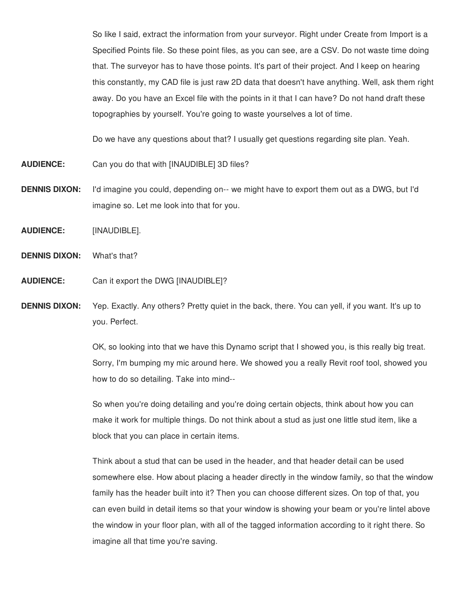So like I said, extract the information from your surveyor. Right under Create from Import is a Specified Points file. So these point files, as you can see, are a CSV. Do not waste time doing that. The surveyor has to have those points. It's part of their project. And I keep on hearing this constantly, my CAD file is just raw 2D data that doesn't have anything. Well, ask them right away. Do you have an Excel file with the points in it that I can have? Do not hand draft these topographies by yourself. You're going to waste yourselves a lot of time.

Do we have any questions about that? I usually get questions regarding site plan. Yeah.

- **AUDIENCE:** Can you do that with [INAUDIBLE] 3D files?
- **DENNIS DIXON:** I'd imagine you could, depending on-- we might have to export them out as a DWG, but I'd imagine so. Let me look into that for you.
- **AUDIENCE:** [INAUDIBLE].
- **DENNIS DIXON:** What's that?
- **AUDIENCE:** Can it export the DWG [INAUDIBLE]?
- **DENNIS DIXON:** Yep. Exactly. Any others? Pretty quiet in the back, there. You can yell, if you want. It's up to you. Perfect.

OK, so looking into that we have this Dynamo script that I showed you, is this really big treat. Sorry, I'm bumping my mic around here. We showed you a really Revit roof tool, showed you how to do so detailing. Take into mind--

So when you're doing detailing and you're doing certain objects, think about how you can make it work for multiple things. Do not think about a stud as just one little stud item, like a block that you can place in certain items.

Think about a stud that can be used in the header, and that header detail can be used somewhere else. How about placing a header directly in the window family, so that the window family has the header built into it? Then you can choose different sizes. On top of that, you can even build in detail items so that your window is showing your beam or you're lintel above the window in your floor plan, with all of the tagged information according to it right there. So imagine all that time you're saving.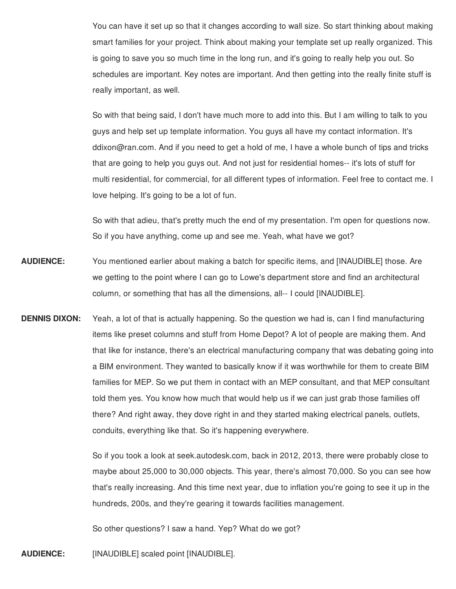You can have it set up so that it changes according to wall size. So start thinking about making smart families for your project. Think about making your template set up really organized. This is going to save you so much time in the long run, and it's going to really help you out. So schedules are important. Key notes are important. And then getting into the really finite stuff is really important, as well.

So with that being said, I don't have much more to add into this. But I am willing to talk to you guys and help set up template information. You guys all have my contact information. It's ddixon@ran.com. And if you need to get a hold of me, I have a whole bunch of tips and tricks that are going to help you guys out. And not just for residential homes-- it's lots of stuff for multi residential, for commercial, for all different types of information. Feel free to contact me. I love helping. It's going to be a lot of fun.

So with that adieu, that's pretty much the end of my presentation. I'm open for questions now. So if you have anything, come up and see me. Yeah, what have we got?

- **AUDIENCE:** You mentioned earlier about making a batch for specific items, and [INAUDIBLE] those. Are we getting to the point where I can go to Lowe's department store and find an architectural column, or something that has all the dimensions, all-- I could [INAUDIBLE].
- **DENNIS DIXON:** Yeah, a lot of that is actually happening. So the question we had is, can I find manufacturing items like preset columns and stuff from Home Depot? A lot of people are making them. And that like for instance, there's an electrical manufacturing company that was debating going into a BIM environment. They wanted to basically know if it was worthwhile for them to create BIM families for MEP. So we put them in contact with an MEP consultant, and that MEP consultant told them yes. You know how much that would help us if we can just grab those families off there? And right away, they dove right in and they started making electrical panels, outlets, conduits, everything like that. So it's happening everywhere.

So if you took a look at seek.autodesk.com, back in 2012, 2013, there were probably close to maybe about 25,000 to 30,000 objects. This year, there's almost 70,000. So you can see how that's really increasing. And this time next year, due to inflation you're going to see it up in the hundreds, 200s, and they're gearing it towards facilities management.

So other questions? I saw a hand. Yep? What do we got?

**AUDIENCE:** [INAUDIBLE] scaled point [INAUDIBLE].